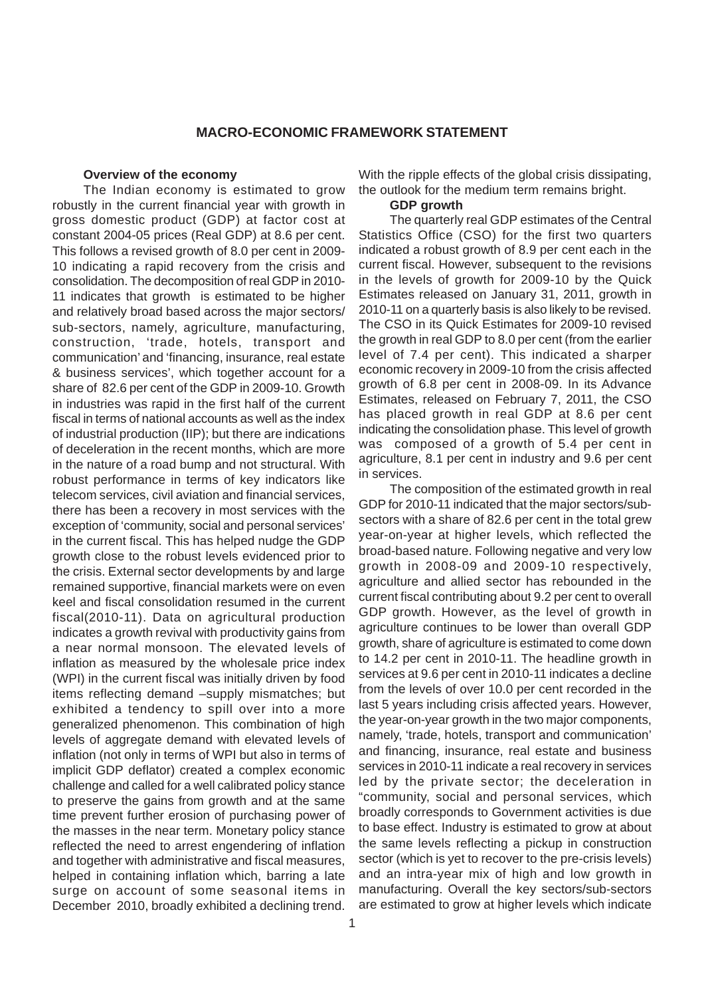#### **MACRO-ECONOMIC FRAMEWORK STATEMENT**

#### **Overview of the economy**

The Indian economy is estimated to grow robustly in the current financial year with growth in gross domestic product (GDP) at factor cost at constant 2004-05 prices (Real GDP) at 8.6 per cent. This follows a revised growth of 8.0 per cent in 2009- 10 indicating a rapid recovery from the crisis and consolidation. The decomposition of real GDP in 2010- 11 indicates that growth is estimated to be higher and relatively broad based across the major sectors/ sub-sectors, namely, agriculture, manufacturing, construction, 'trade, hotels, transport and communication' and 'financing, insurance, real estate & business services', which together account for a share of 82.6 per cent of the GDP in 2009-10. Growth in industries was rapid in the first half of the current fiscal in terms of national accounts as well as the index of industrial production (IIP); but there are indications of deceleration in the recent months, which are more in the nature of a road bump and not structural. With robust performance in terms of key indicators like telecom services, civil aviation and financial services, there has been a recovery in most services with the exception of 'community, social and personal services' in the current fiscal. This has helped nudge the GDP growth close to the robust levels evidenced prior to the crisis. External sector developments by and large remained supportive, financial markets were on even keel and fiscal consolidation resumed in the current fiscal(2010-11). Data on agricultural production indicates a growth revival with productivity gains from a near normal monsoon. The elevated levels of inflation as measured by the wholesale price index (WPI) in the current fiscal was initially driven by food items reflecting demand –supply mismatches; but exhibited a tendency to spill over into a more generalized phenomenon. This combination of high levels of aggregate demand with elevated levels of inflation (not only in terms of WPI but also in terms of implicit GDP deflator) created a complex economic challenge and called for a well calibrated policy stance to preserve the gains from growth and at the same time prevent further erosion of purchasing power of the masses in the near term. Monetary policy stance reflected the need to arrest engendering of inflation and together with administrative and fiscal measures, helped in containing inflation which, barring a late surge on account of some seasonal items in December 2010, broadly exhibited a declining trend.

With the ripple effects of the global crisis dissipating, the outlook for the medium term remains bright.

## **GDP growth**

The quarterly real GDP estimates of the Central Statistics Office (CSO) for the first two quarters indicated a robust growth of 8.9 per cent each in the current fiscal. However, subsequent to the revisions in the levels of growth for 2009-10 by the Quick Estimates released on January 31, 2011, growth in 2010-11 on a quarterly basis is also likely to be revised. The CSO in its Quick Estimates for 2009-10 revised the growth in real GDP to 8.0 per cent (from the earlier level of 7.4 per cent). This indicated a sharper economic recovery in 2009-10 from the crisis affected growth of 6.8 per cent in 2008-09. In its Advance Estimates, released on February 7, 2011, the CSO has placed growth in real GDP at 8.6 per cent indicating the consolidation phase. This level of growth was composed of a growth of 5.4 per cent in agriculture, 8.1 per cent in industry and 9.6 per cent in services.

The composition of the estimated growth in real GDP for 2010-11 indicated that the major sectors/subsectors with a share of 82.6 per cent in the total grew year-on-year at higher levels, which reflected the broad-based nature. Following negative and very low growth in 2008-09 and 2009-10 respectively, agriculture and allied sector has rebounded in the current fiscal contributing about 9.2 per cent to overall GDP growth. However, as the level of growth in agriculture continues to be lower than overall GDP growth, share of agriculture is estimated to come down to 14.2 per cent in 2010-11. The headline growth in services at 9.6 per cent in 2010-11 indicates a decline from the levels of over 10.0 per cent recorded in the last 5 years including crisis affected years. However, the year-on-year growth in the two major components, namely, 'trade, hotels, transport and communication' and financing, insurance, real estate and business services in 2010-11 indicate a real recovery in services led by the private sector; the deceleration in "community, social and personal services, which broadly corresponds to Government activities is due to base effect. Industry is estimated to grow at about the same levels reflecting a pickup in construction sector (which is yet to recover to the pre-crisis levels) and an intra-year mix of high and low growth in manufacturing. Overall the key sectors/sub-sectors are estimated to grow at higher levels which indicate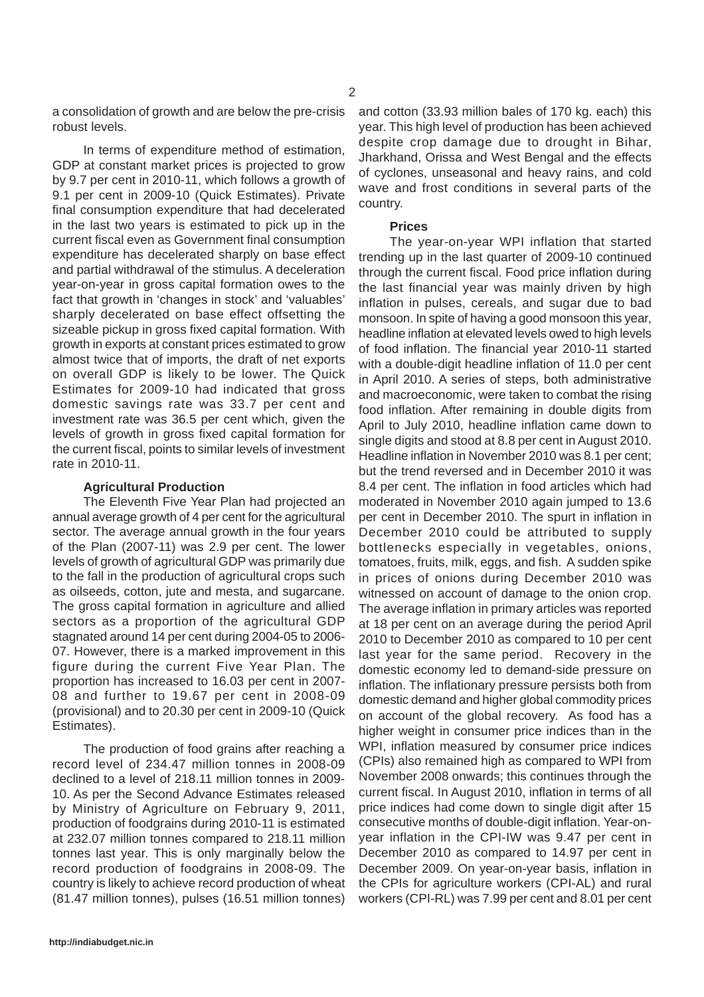a consolidation of growth and are below the pre-crisis robust levels.

In terms of expenditure method of estimation, GDP at constant market prices is projected to grow by 9.7 per cent in 2010-11, which follows a growth of 9.1 per cent in 2009-10 (Quick Estimates). Private final consumption expenditure that had decelerated in the last two years is estimated to pick up in the current fiscal even as Government final consumption expenditure has decelerated sharply on base effect and partial withdrawal of the stimulus. A deceleration year-on-year in gross capital formation owes to the fact that growth in 'changes in stock' and 'valuables' sharply decelerated on base effect offsetting the sizeable pickup in gross fixed capital formation. With growth in exports at constant prices estimated to grow almost twice that of imports, the draft of net exports on overall GDP is likely to be lower. The Quick Estimates for 2009-10 had indicated that gross domestic savings rate was 33.7 per cent and investment rate was 36.5 per cent which, given the levels of growth in gross fixed capital formation for the current fiscal, points to similar levels of investment rate in 2010-11.

# **Agricultural Production**

The Eleventh Five Year Plan had projected an annual average growth of 4 per cent for the agricultural sector. The average annual growth in the four years of the Plan (2007-11) was 2.9 per cent. The lower levels of growth of agricultural GDP was primarily due to the fall in the production of agricultural crops such as oilseeds, cotton, jute and mesta, and sugarcane. The gross capital formation in agriculture and allied sectors as a proportion of the agricultural GDP stagnated around 14 per cent during 2004-05 to 2006- 07. However, there is a marked improvement in this figure during the current Five Year Plan. The proportion has increased to 16.03 per cent in 2007- 08 and further to 19.67 per cent in 2008-09 (provisional) and to 20.30 per cent in 2009-10 (Quick Estimates).

The production of food grains after reaching a record level of 234.47 million tonnes in 2008-09 declined to a level of 218.11 million tonnes in 2009- 10. As per the Second Advance Estimates released by Ministry of Agriculture on February 9, 2011, production of foodgrains during 2010-11 is estimated at 232.07 million tonnes compared to 218.11 million tonnes last year. This is only marginally below the record production of foodgrains in 2008-09. The country is likely to achieve record production of wheat (81.47 million tonnes), pulses (16.51 million tonnes)

and cotton (33.93 million bales of 170 kg. each) this year. This high level of production has been achieved despite crop damage due to drought in Bihar, Jharkhand, Orissa and West Bengal and the effects of cyclones, unseasonal and heavy rains, and cold wave and frost conditions in several parts of the country.

# **Prices**

The year-on-year WPI inflation that started trending up in the last quarter of 2009-10 continued through the current fiscal. Food price inflation during the last financial year was mainly driven by high inflation in pulses, cereals, and sugar due to bad monsoon. In spite of having a good monsoon this year, headline inflation at elevated levels owed to high levels of food inflation. The financial year 2010-11 started with a double-digit headline inflation of 11.0 per cent in April 2010. A series of steps, both administrative and macroeconomic, were taken to combat the rising food inflation. After remaining in double digits from April to July 2010, headline inflation came down to single digits and stood at 8.8 per cent in August 2010. Headline inflation in November 2010 was 8.1 per cent; but the trend reversed and in December 2010 it was 8.4 per cent. The inflation in food articles which had moderated in November 2010 again jumped to 13.6 per cent in December 2010. The spurt in inflation in December 2010 could be attributed to supply bottlenecks especially in vegetables, onions, tomatoes, fruits, milk, eggs, and fish. A sudden spike in prices of onions during December 2010 was witnessed on account of damage to the onion crop. The average inflation in primary articles was reported at 18 per cent on an average during the period April 2010 to December 2010 as compared to 10 per cent last year for the same period. Recovery in the domestic economy led to demand-side pressure on inflation. The inflationary pressure persists both from domestic demand and higher global commodity prices on account of the global recovery. As food has a higher weight in consumer price indices than in the WPI, inflation measured by consumer price indices (CPIs) also remained high as compared to WPI from November 2008 onwards; this continues through the current fiscal. In August 2010, inflation in terms of all price indices had come down to single digit after 15 consecutive months of double-digit inflation. Year-onyear inflation in the CPI-IW was 9.47 per cent in December 2010 as compared to 14.97 per cent in December 2009. On year-on-year basis, inflation in the CPIs for agriculture workers (CPI-AL) and rural workers (CPI-RL) was 7.99 per cent and 8.01 per cent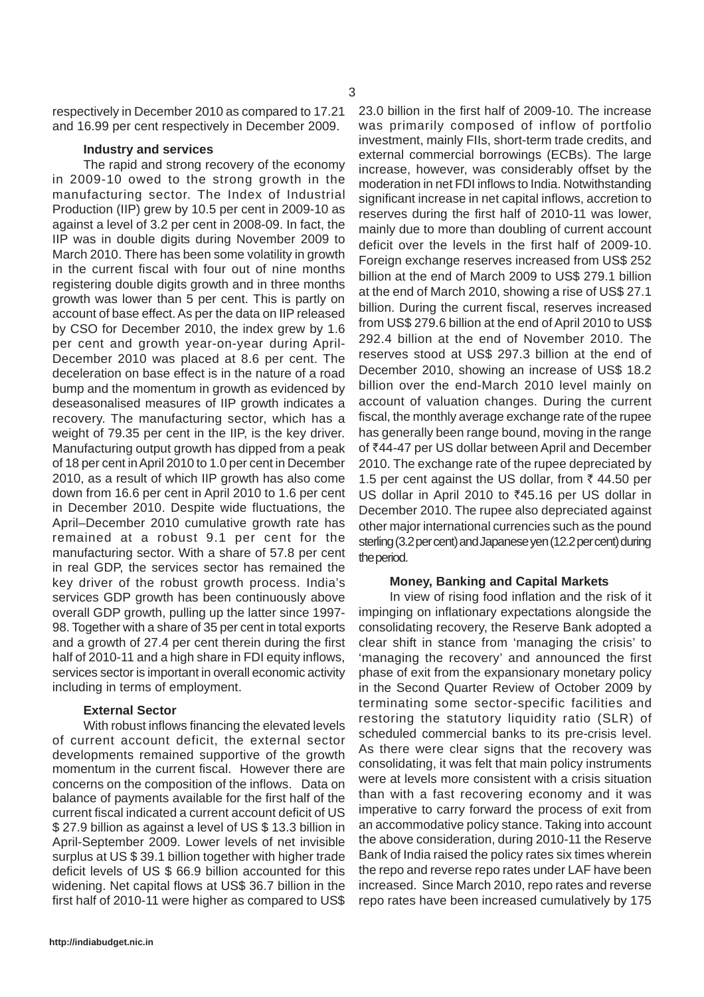respectively in December 2010 as compared to 17.21 and 16.99 per cent respectively in December 2009.

## **Industry and services**

The rapid and strong recovery of the economy in 2009-10 owed to the strong growth in the manufacturing sector. The Index of Industrial Production (IIP) grew by 10.5 per cent in 2009-10 as against a level of 3.2 per cent in 2008-09. In fact, the IIP was in double digits during November 2009 to March 2010. There has been some volatility in growth in the current fiscal with four out of nine months registering double digits growth and in three months growth was lower than 5 per cent. This is partly on account of base effect. As per the data on IIP released by CSO for December 2010, the index grew by 1.6 per cent and growth year-on-year during April-December 2010 was placed at 8.6 per cent. The deceleration on base effect is in the nature of a road bump and the momentum in growth as evidenced by deseasonalised measures of IIP growth indicates a recovery. The manufacturing sector, which has a weight of 79.35 per cent in the IIP, is the key driver. Manufacturing output growth has dipped from a peak of 18 per cent in April 2010 to 1.0 per cent in December 2010, as a result of which IIP growth has also come down from 16.6 per cent in April 2010 to 1.6 per cent in December 2010. Despite wide fluctuations, the April–December 2010 cumulative growth rate has remained at a robust 9.1 per cent for the manufacturing sector. With a share of 57.8 per cent in real GDP, the services sector has remained the key driver of the robust growth process. India's services GDP growth has been continuously above overall GDP growth, pulling up the latter since 1997- 98. Together with a share of 35 per cent in total exports and a growth of 27.4 per cent therein during the first half of 2010-11 and a high share in FDI equity inflows. services sector is important in overall economic activity including in terms of employment.

# **External Sector**

With robust inflows financing the elevated levels of current account deficit, the external sector developments remained supportive of the growth momentum in the current fiscal. However there are concerns on the composition of the inflows. Data on balance of payments available for the first half of the current fiscal indicated a current account deficit of US \$ 27.9 billion as against a level of US \$ 13.3 billion in April-September 2009. Lower levels of net invisible surplus at US \$ 39.1 billion together with higher trade deficit levels of US \$ 66.9 billion accounted for this widening. Net capital flows at US\$ 36.7 billion in the first half of 2010-11 were higher as compared to US\$ 23.0 billion in the first half of 2009-10. The increase was primarily composed of inflow of portfolio investment, mainly FIIs, short-term trade credits, and external commercial borrowings (ECBs). The large increase, however, was considerably offset by the moderation in net FDI inflows to India. Notwithstanding significant increase in net capital inflows, accretion to reserves during the first half of 2010-11 was lower, mainly due to more than doubling of current account deficit over the levels in the first half of 2009-10. Foreign exchange reserves increased from US\$ 252 billion at the end of March 2009 to US\$ 279.1 billion at the end of March 2010, showing a rise of US\$ 27.1 billion. During the current fiscal, reserves increased from US\$ 279.6 billion at the end of April 2010 to US\$ 292.4 billion at the end of November 2010. The reserves stood at US\$ 297.3 billion at the end of December 2010, showing an increase of US\$ 18.2 billion over the end-March 2010 level mainly on account of valuation changes. During the current fiscal, the monthly average exchange rate of the rupee has generally been range bound, moving in the range of ₹44-47 per US dollar between April and December 2010. The exchange rate of the rupee depreciated by 1.5 per cent against the US dollar, from  $\bar{\tau}$  44.50 per US dollar in April 2010 to  $\overline{6}45.16$  per US dollar in December 2010. The rupee also depreciated against other major international currencies such as the pound sterling (3.2 per cent) and Japanese yen (12.2 per cent) during the period.

### **Money, Banking and Capital Markets**

In view of rising food inflation and the risk of it impinging on inflationary expectations alongside the consolidating recovery, the Reserve Bank adopted a clear shift in stance from 'managing the crisis' to 'managing the recovery' and announced the first phase of exit from the expansionary monetary policy in the Second Quarter Review of October 2009 by terminating some sector-specific facilities and restoring the statutory liquidity ratio (SLR) of scheduled commercial banks to its pre-crisis level. As there were clear signs that the recovery was consolidating, it was felt that main policy instruments were at levels more consistent with a crisis situation than with a fast recovering economy and it was imperative to carry forward the process of exit from an accommodative policy stance. Taking into account the above consideration, during 2010-11 the Reserve Bank of India raised the policy rates six times wherein the repo and reverse repo rates under LAF have been increased. Since March 2010, repo rates and reverse repo rates have been increased cumulatively by 175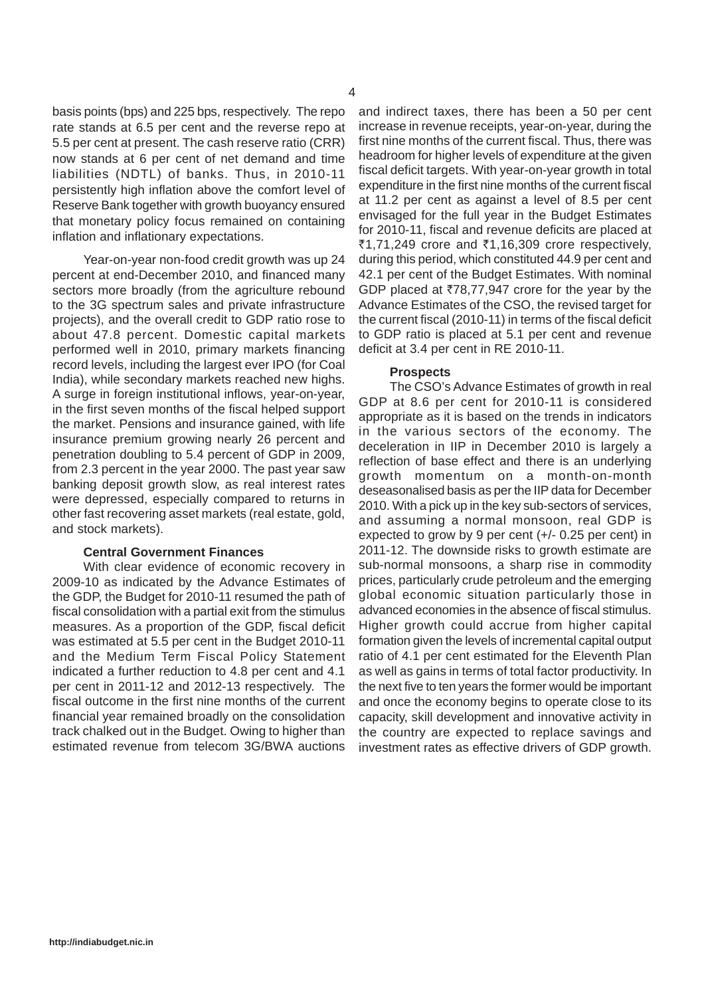basis points (bps) and 225 bps, respectively. The repo rate stands at 6.5 per cent and the reverse repo at 5.5 per cent at present. The cash reserve ratio (CRR) now stands at 6 per cent of net demand and time liabilities (NDTL) of banks. Thus, in 2010-11 persistently high inflation above the comfort level of Reserve Bank together with growth buoyancy ensured that monetary policy focus remained on containing inflation and inflationary expectations.

Year-on-year non-food credit growth was up 24 percent at end-December 2010, and financed many sectors more broadly (from the agriculture rebound to the 3G spectrum sales and private infrastructure projects), and the overall credit to GDP ratio rose to about 47.8 percent. Domestic capital markets performed well in 2010, primary markets financing record levels, including the largest ever IPO (for Coal India), while secondary markets reached new highs. A surge in foreign institutional inflows, year-on-year, in the first seven months of the fiscal helped support the market. Pensions and insurance gained, with life insurance premium growing nearly 26 percent and penetration doubling to 5.4 percent of GDP in 2009, from 2.3 percent in the year 2000. The past year saw banking deposit growth slow, as real interest rates were depressed, especially compared to returns in other fast recovering asset markets (real estate, gold, and stock markets).

# **Central Government Finances**

With clear evidence of economic recovery in 2009-10 as indicated by the Advance Estimates of the GDP, the Budget for 2010-11 resumed the path of fiscal consolidation with a partial exit from the stimulus measures. As a proportion of the GDP, fiscal deficit was estimated at 5.5 per cent in the Budget 2010-11 and the Medium Term Fiscal Policy Statement indicated a further reduction to 4.8 per cent and 4.1 per cent in 2011-12 and 2012-13 respectively. The fiscal outcome in the first nine months of the current financial year remained broadly on the consolidation track chalked out in the Budget. Owing to higher than estimated revenue from telecom 3G/BWA auctions and indirect taxes, there has been a 50 per cent increase in revenue receipts, year-on-year, during the first nine months of the current fiscal. Thus, there was headroom for higher levels of expenditure at the given fiscal deficit targets. With year-on-year growth in total expenditure in the first nine months of the current fiscal at 11.2 per cent as against a level of 8.5 per cent envisaged for the full year in the Budget Estimates for 2010-11, fiscal and revenue deficits are placed at ₹1,71,249 crore and ₹1,16,309 crore respectively, during this period, which constituted 44.9 per cent and 42.1 per cent of the Budget Estimates. With nominal GDP placed at  $\overline{78,77,947}$  crore for the year by the Advance Estimates of the CSO, the revised target for the current fiscal (2010-11) in terms of the fiscal deficit to GDP ratio is placed at 5.1 per cent and revenue deficit at 3.4 per cent in RE 2010-11.

#### **Prospects**

The CSO's Advance Estimates of growth in real GDP at 8.6 per cent for 2010-11 is considered appropriate as it is based on the trends in indicators in the various sectors of the economy. The deceleration in IIP in December 2010 is largely a reflection of base effect and there is an underlying growth momentum on a month-on-month deseasonalised basis as per the IIP data for December 2010. With a pick up in the key sub-sectors of services, and assuming a normal monsoon, real GDP is expected to grow by 9 per cent (+/- 0.25 per cent) in 2011-12. The downside risks to growth estimate are sub-normal monsoons, a sharp rise in commodity prices, particularly crude petroleum and the emerging global economic situation particularly those in advanced economies in the absence of fiscal stimulus. Higher growth could accrue from higher capital formation given the levels of incremental capital output ratio of 4.1 per cent estimated for the Eleventh Plan as well as gains in terms of total factor productivity. In the next five to ten years the former would be important and once the economy begins to operate close to its capacity, skill development and innovative activity in the country are expected to replace savings and investment rates as effective drivers of GDP growth.